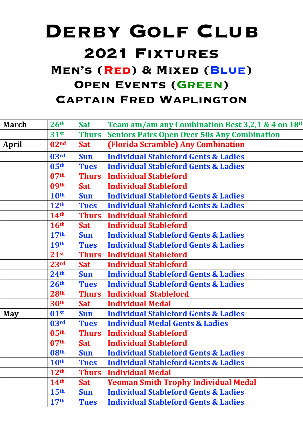## DERBY GOLF CLUB **2021 Fixtures Men's (Red) & Mixed (Blue) OPEN EVENTS (GREEN) Captain Fred Waplington**

| <b>March</b> | 26 <sup>th</sup> | <b>Sat</b>   | Team am/am any Combination Best 3,2,1 & 4 on 18th  |
|--------------|------------------|--------------|----------------------------------------------------|
|              | 31 <sup>st</sup> | <b>Thurs</b> | <b>Seniors Pairs Open Over 50s Any Combination</b> |
| <b>April</b> | 02 <sub>nd</sub> | <b>Sat</b>   | (Florida Scramble) Any Combination                 |
|              | 03 <sup>rd</sup> | <b>Sun</b>   | <b>Individual Stableford Gents &amp; Ladies</b>    |
|              | 05 <sup>th</sup> | <b>Tues</b>  | <b>Individual Stableford Gents &amp; Ladies</b>    |
|              | 07 <sup>th</sup> | <b>Thurs</b> | <b>Individual Stableford</b>                       |
|              | 09 <sup>th</sup> | <b>Sat</b>   | <b>Individual Stableford</b>                       |
|              | 10th             | <b>Sun</b>   | <b>Individual Stableford Gents &amp; Ladies</b>    |
|              | 12 <sup>th</sup> | <b>Tues</b>  | <b>Individual Stableford Gents &amp; Ladies</b>    |
|              | <b>14th</b>      | <b>Thurs</b> | <b>Individual Stableford</b>                       |
|              | 16 <sup>th</sup> | <b>Sat</b>   | <b>Individual Stableford</b>                       |
|              | 17 <sup>th</sup> | <b>Sun</b>   | <b>Individual Stableford Gents &amp; Ladies</b>    |
|              | <b>19th</b>      | <b>Tues</b>  | <b>Individual Stableford Gents &amp; Ladies</b>    |
|              | 21 <sup>st</sup> | <b>Thurs</b> | <b>Individual Stableford</b>                       |
|              | 23rd             | <b>Sat</b>   | <b>Individual Stableford</b>                       |
|              | 24 <sup>th</sup> | <b>Sun</b>   | <b>Individual Stableford Gents &amp; Ladies</b>    |
|              | 26 <sup>th</sup> | <b>Tues</b>  | <b>Individual Stableford Gents &amp; Ladies</b>    |
|              | 28 <sup>th</sup> | <b>Thurs</b> | <b>Individual Stableford</b>                       |
|              | 30th             | <b>Sat</b>   | <b>Individual Medal</b>                            |
| <b>May</b>   | 01 <sup>st</sup> | <b>Sun</b>   | <b>Individual Stableford Gents &amp; Ladies</b>    |
|              | 03 <sup>rd</sup> | <b>Tues</b>  | <b>Individual Medal Gents &amp; Ladies</b>         |
|              | 05 <sup>th</sup> | <b>Thurs</b> | <b>Individual Stableford</b>                       |
|              | 07 <sup>th</sup> | <b>Sat</b>   | <b>Individual Stableford</b>                       |
|              | 08 <sup>th</sup> | <b>Sun</b>   | <b>Individual Stableford Gents &amp; Ladies</b>    |
|              | <b>10th</b>      | <b>Tues</b>  | <b>Individual Stableford Gents &amp; Ladies</b>    |
|              | 12 <sup>th</sup> | <b>Thurs</b> | <b>Individual Medal</b>                            |
|              | 14 <sup>th</sup> | <b>Sat</b>   | <b>Yeoman Smith Trophy Individual Medal</b>        |
|              | 15 <sup>th</sup> | <b>Sun</b>   | <b>Individual Stableford Gents &amp; Ladies</b>    |
|              | 17 <sup>th</sup> | <b>Tues</b>  | <b>Individual Stableford Gents &amp; Ladies</b>    |
|              |                  |              |                                                    |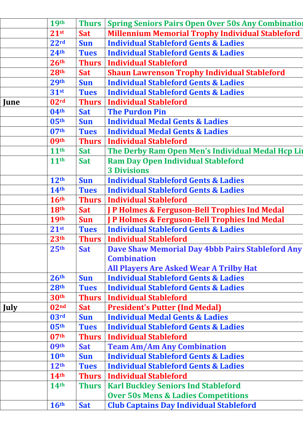|             | <b>19th</b>      | <b>Thurs</b> | <b>Spring Seniors Pairs Open Over 50s Any Combination</b> |
|-------------|------------------|--------------|-----------------------------------------------------------|
|             | $21^{st}$        | <b>Sat</b>   | <b>Millennium Memorial Trophy Individual Stableford</b>   |
|             | 22 <sup>rd</sup> | <b>Sun</b>   | <b>Individual Stableford Gents &amp; Ladies</b>           |
|             | 24 <sup>th</sup> | <b>Tues</b>  | <b>Individual Stableford Gents &amp; Ladies</b>           |
|             | 26 <sup>th</sup> | <b>Thurs</b> | <b>Individual Stableford</b>                              |
|             | 28 <sup>th</sup> | <b>Sat</b>   | <b>Shaun Lawrenson Trophy Individual Stableford</b>       |
|             | 29 <sup>th</sup> | <b>Sun</b>   | <b>Individual Stableford Gents &amp; Ladies</b>           |
|             | $31$ st          | <b>Tues</b>  | <b>Individual Stableford Gents &amp; Ladies</b>           |
| June        | 02 <sup>rd</sup> | <b>Thurs</b> | <b>Individual Stableford</b>                              |
|             | 04 <sup>th</sup> | <b>Sat</b>   | <b>The Purdon Pin</b>                                     |
|             | 05 <sup>th</sup> | <b>Sun</b>   | <b>Individual Medal Gents &amp; Ladies</b>                |
|             | 07 <sup>th</sup> | <b>Tues</b>  | <b>Individual Medal Gents &amp; Ladies</b>                |
|             | 09 <sup>th</sup> | <b>Thurs</b> | <b>Individual Stableford</b>                              |
|             | 11 <sup>th</sup> | <b>Sat</b>   | The Derby Ram Open Men's Individual Medal Hcp Lin         |
|             | 11 <sup>th</sup> | <b>Sat</b>   | <b>Ram Day Open Individual Stableford</b>                 |
|             |                  |              | <b>3 Divisions</b>                                        |
|             | 12 <sup>th</sup> | <b>Sun</b>   | <b>Individual Stableford Gents &amp; Ladies</b>           |
|             | 14 <sup>th</sup> | <b>Tues</b>  | <b>Individual Stableford Gents &amp; Ladies</b>           |
|             | 16 <sup>th</sup> | <b>Thurs</b> | <b>Individual Stableford</b>                              |
|             | 18th             | <b>Sat</b>   | <b>J P Holmes &amp; Ferguson-Bell Trophies Ind Medal</b>  |
|             | <b>19th</b>      | <b>Sun</b>   | P Holmes & Ferguson-Bell Trophies Ind Medal               |
|             | 21 <sup>st</sup> | <b>Tues</b>  | <b>Individual Stableford Gents &amp; Ladies</b>           |
|             | 23 <sup>th</sup> | <b>Thurs</b> | <b>Individual Stableford</b>                              |
|             | 25 <sup>th</sup> | <b>Sat</b>   | <b>Dave Shaw Memorial Day 4bbb Pairs Stableford Any</b>   |
|             |                  |              | <b>Combination</b>                                        |
|             |                  |              | <b>All Players Are Asked Wear A Trilby Hat</b>            |
|             | 26 <sup>th</sup> | <b>Sun</b>   | <b>Individual Stableford Gents &amp; Ladies</b>           |
|             | 28 <sup>th</sup> | <b>Tues</b>  | <b>Individual Stableford Gents &amp; Ladies</b>           |
|             | 30 <sup>th</sup> | <b>Thurs</b> | <b>Individual Stableford</b>                              |
| <b>July</b> | 02 <sup>nd</sup> | <b>Sat</b>   | <b>President's Putter (Ind Medal)</b>                     |
|             | 03 <sup>rd</sup> | <b>Sun</b>   | <b>Individual Medal Gents &amp; Ladies</b>                |
|             | 05 <sup>th</sup> | <b>Tues</b>  | <b>Individual Stableford Gents &amp; Ladies</b>           |
|             | 07 <sup>th</sup> | <b>Thurs</b> | <b>Individual Stableford</b>                              |
|             | 09 <sup>th</sup> | <b>Sat</b>   | <b>Team Am/Am Any Combination</b>                         |
|             | 10 <sup>th</sup> | <b>Sun</b>   | <b>Individual Stableford Gents &amp; Ladies</b>           |
|             | 12 <sup>th</sup> | <b>Tues</b>  | <b>Individual Stableford Gents &amp; Ladies</b>           |
|             | 14 <sup>th</sup> | <b>Thurs</b> | <b>Individual Stableford</b>                              |
|             | 14 <sup>th</sup> | <b>Thurs</b> | <b>Karl Buckley Seniors Ind Stableford</b>                |
|             |                  |              | <b>Over 50s Mens &amp; Ladies Competitions</b>            |
|             | 16 <sup>th</sup> | <b>Sat</b>   | <b>Club Captains Day Individual Stableford</b>            |